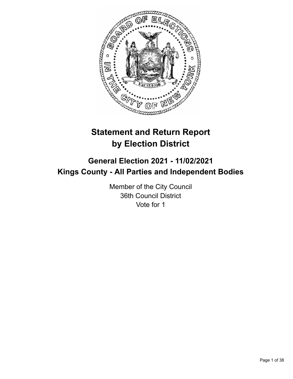

# **Statement and Return Report by Election District**

# **General Election 2021 - 11/02/2021 Kings County - All Parties and Independent Bodies**

Member of the City Council 36th Council District Vote for 1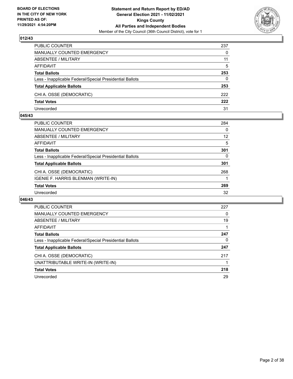

| PUBLIC COUNTER                                           | 237      |
|----------------------------------------------------------|----------|
| <b>MANUALLY COUNTED EMERGENCY</b>                        | $\Omega$ |
| ABSENTEE / MILITARY                                      | 11       |
| AFFIDAVIT                                                | 5        |
| <b>Total Ballots</b>                                     | 253      |
| Less - Inapplicable Federal/Special Presidential Ballots | $\Omega$ |
| <b>Total Applicable Ballots</b>                          | 253      |
| CHI A. OSSE (DEMOCRATIC)                                 | 222      |
| <b>Total Votes</b>                                       | 222      |
| Unrecorded                                               | 31       |

## **045/43**

| PUBLIC COUNTER                                           | 284      |
|----------------------------------------------------------|----------|
| <b>MANUALLY COUNTED EMERGENCY</b>                        | $\Omega$ |
| ABSENTEE / MILITARY                                      | 12       |
| AFFIDAVIT                                                | 5        |
| <b>Total Ballots</b>                                     | 301      |
| Less - Inapplicable Federal/Special Presidential Ballots | 0        |
| <b>Total Applicable Ballots</b>                          | 301      |
| CHI A. OSSE (DEMOCRATIC)                                 | 268      |
| <b>IGENIE F. HARRIS BLENMAN (WRITE-IN)</b>               |          |
| <b>Total Votes</b>                                       | 269      |
| Unrecorded                                               | 32       |
|                                                          |          |

| <b>PUBLIC COUNTER</b>                                    | 227 |
|----------------------------------------------------------|-----|
| <b>MANUALLY COUNTED EMERGENCY</b>                        | 0   |
| ABSENTEE / MILITARY                                      | 19  |
| <b>AFFIDAVIT</b>                                         |     |
| <b>Total Ballots</b>                                     | 247 |
| Less - Inapplicable Federal/Special Presidential Ballots | 0   |
| <b>Total Applicable Ballots</b>                          | 247 |
| CHI A. OSSE (DEMOCRATIC)                                 | 217 |
| UNATTRIBUTABLE WRITE-IN (WRITE-IN)                       |     |
| <b>Total Votes</b>                                       | 218 |
| Unrecorded                                               | 29  |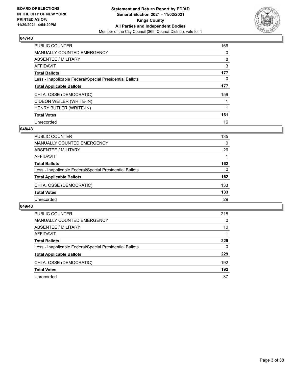

| <b>PUBLIC COUNTER</b>                                    | 166      |
|----------------------------------------------------------|----------|
| <b>MANUALLY COUNTED EMERGENCY</b>                        | $\Omega$ |
| ABSENTEE / MILITARY                                      | 8        |
| AFFIDAVIT                                                | 3        |
| <b>Total Ballots</b>                                     | 177      |
| Less - Inapplicable Federal/Special Presidential Ballots | 0        |
| <b>Total Applicable Ballots</b>                          | 177      |
| CHI A. OSSE (DEMOCRATIC)                                 | 159      |
| CIDEON WEILER (WRITE-IN)                                 |          |
| HENRY BUTLER (WRITE-IN)                                  |          |
| <b>Total Votes</b>                                       | 161      |
| Unrecorded                                               | 16       |

## **048/43**

| PUBLIC COUNTER                                           | 135 |
|----------------------------------------------------------|-----|
| MANUALLY COUNTED EMERGENCY                               | 0   |
| ABSENTEE / MILITARY                                      | 26  |
| AFFIDAVIT                                                |     |
| <b>Total Ballots</b>                                     | 162 |
| Less - Inapplicable Federal/Special Presidential Ballots | 0   |
| <b>Total Applicable Ballots</b>                          | 162 |
| CHI A. OSSE (DEMOCRATIC)                                 | 133 |
| <b>Total Votes</b>                                       | 133 |
| Unrecorded                                               | 29  |
|                                                          |     |

| PUBLIC COUNTER                                           | 218 |
|----------------------------------------------------------|-----|
| <b>MANUALLY COUNTED EMERGENCY</b>                        | 0   |
| ABSENTEE / MILITARY                                      | 10  |
| AFFIDAVIT                                                |     |
| <b>Total Ballots</b>                                     | 229 |
| Less - Inapplicable Federal/Special Presidential Ballots | 0   |
| <b>Total Applicable Ballots</b>                          | 229 |
| CHI A. OSSE (DEMOCRATIC)                                 | 192 |
| <b>Total Votes</b>                                       | 192 |
| Unrecorded                                               | 37  |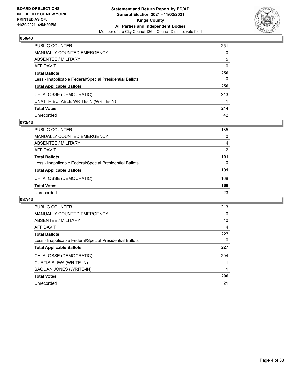

| PUBLIC COUNTER                                           | 251      |
|----------------------------------------------------------|----------|
| <b>MANUALLY COUNTED EMERGENCY</b>                        | 0        |
| ABSENTEE / MILITARY                                      | 5        |
| AFFIDAVIT                                                | $\Omega$ |
| <b>Total Ballots</b>                                     | 256      |
| Less - Inapplicable Federal/Special Presidential Ballots | 0        |
| <b>Total Applicable Ballots</b>                          | 256      |
| CHI A. OSSE (DEMOCRATIC)                                 | 213      |
| UNATTRIBUTABLE WRITE-IN (WRITE-IN)                       |          |
| <b>Total Votes</b>                                       | 214      |
| Unrecorded                                               | 42       |

## **072/43**

| <b>PUBLIC COUNTER</b>                                    | 185      |
|----------------------------------------------------------|----------|
| MANUALLY COUNTED EMERGENCY                               | $\Omega$ |
| ABSENTEE / MILITARY                                      | 4        |
| AFFIDAVIT                                                | 2        |
| <b>Total Ballots</b>                                     | 191      |
| Less - Inapplicable Federal/Special Presidential Ballots | 0        |
| <b>Total Applicable Ballots</b>                          | 191      |
| CHI A. OSSE (DEMOCRATIC)                                 | 168      |
| <b>Total Votes</b>                                       | 168      |
| Unrecorded                                               | 23       |

| <b>PUBLIC COUNTER</b>                                    | 213 |
|----------------------------------------------------------|-----|
| <b>MANUALLY COUNTED EMERGENCY</b>                        | 0   |
| ABSENTEE / MILITARY                                      | 10  |
| AFFIDAVIT                                                | 4   |
| <b>Total Ballots</b>                                     | 227 |
| Less - Inapplicable Federal/Special Presidential Ballots | 0   |
| <b>Total Applicable Ballots</b>                          | 227 |
| CHI A. OSSE (DEMOCRATIC)                                 | 204 |
| <b>CURTIS SLIWA (WRITE-IN)</b>                           |     |
| SAQUAN JONES (WRITE-IN)                                  |     |
| <b>Total Votes</b>                                       | 206 |
| Unrecorded                                               | 21  |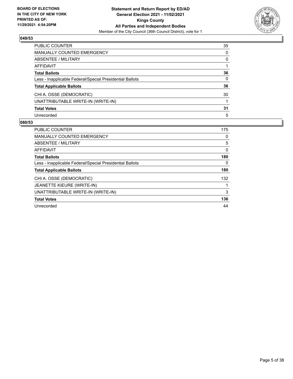

| PUBLIC COUNTER                                           | 35           |
|----------------------------------------------------------|--------------|
| <b>MANUALLY COUNTED EMERGENCY</b>                        | 0            |
| ABSENTEE / MILITARY                                      | 0            |
| <b>AFFIDAVIT</b>                                         |              |
| <b>Total Ballots</b>                                     | 36           |
| Less - Inapplicable Federal/Special Presidential Ballots | $\mathbf{0}$ |
| <b>Total Applicable Ballots</b>                          | 36           |
| CHI A. OSSE (DEMOCRATIC)                                 | 30           |
| UNATTRIBUTABLE WRITE-IN (WRITE-IN)                       |              |
| <b>Total Votes</b>                                       | 31           |
| Unrecorded                                               | 5            |

| <b>PUBLIC COUNTER</b>                                    | 175 |
|----------------------------------------------------------|-----|
| <b>MANUALLY COUNTED EMERGENCY</b>                        | 0   |
| ABSENTEE / MILITARY                                      | 5   |
| <b>AFFIDAVIT</b>                                         | 0   |
| <b>Total Ballots</b>                                     | 180 |
| Less - Inapplicable Federal/Special Presidential Ballots | 0   |
| <b>Total Applicable Ballots</b>                          | 180 |
| CHI A. OSSE (DEMOCRATIC)                                 | 132 |
| JEANETTE KIEURE (WRITE-IN)                               |     |
| UNATTRIBUTABLE WRITE-IN (WRITE-IN)                       | 3   |
| <b>Total Votes</b>                                       | 136 |
| Unrecorded                                               | 44  |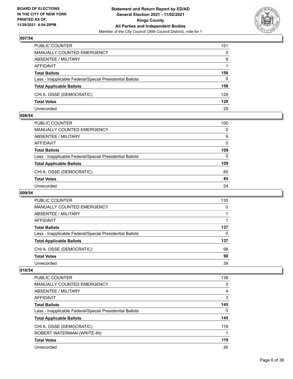

| <b>PUBLIC COUNTER</b>                                    | 151      |
|----------------------------------------------------------|----------|
| <b>MANUALLY COUNTED EMERGENCY</b>                        | $\Omega$ |
| ABSENTEE / MILITARY                                      | 6        |
| AFFIDAVIT                                                |          |
| <b>Total Ballots</b>                                     | 158      |
| Less - Inapplicable Federal/Special Presidential Ballots | 0        |
| <b>Total Applicable Ballots</b>                          | 158      |
| CHI A. OSSE (DEMOCRATIC)                                 | 129      |
| <b>Total Votes</b>                                       | 129      |
| Unrecorded                                               | 29       |

## **008/54**

| PUBLIC COUNTER                                           | 100      |
|----------------------------------------------------------|----------|
| <b>MANUALLY COUNTED EMERGENCY</b>                        | $\Omega$ |
| ABSENTEE / MILITARY                                      | 9        |
| <b>AFFIDAVIT</b>                                         | $\Omega$ |
| <b>Total Ballots</b>                                     | 109      |
| Less - Inapplicable Federal/Special Presidential Ballots | $\Omega$ |
| <b>Total Applicable Ballots</b>                          | 109      |
| CHI A. OSSE (DEMOCRATIC)                                 | 85       |
| <b>Total Votes</b>                                       | 85       |
| Unrecorded                                               | 24       |

# **009/54**

| PUBLIC COUNTER                                           | 135 |
|----------------------------------------------------------|-----|
| MANUALLY COUNTED EMERGENCY                               | 0   |
| ABSENTEE / MILITARY                                      |     |
| AFFIDAVIT                                                |     |
| <b>Total Ballots</b>                                     | 137 |
| Less - Inapplicable Federal/Special Presidential Ballots | 0   |
| <b>Total Applicable Ballots</b>                          | 137 |
| CHI A. OSSE (DEMOCRATIC)                                 | 98  |
| <b>Total Votes</b>                                       | 98  |
| Unrecorded                                               | 39  |

| <b>PUBLIC COUNTER</b>                                    | 138 |
|----------------------------------------------------------|-----|
| <b>MANUALLY COUNTED EMERGENCY</b>                        | 0   |
| ABSENTEE / MILITARY                                      | 4   |
| AFFIDAVIT                                                | 3   |
| <b>Total Ballots</b>                                     | 145 |
| Less - Inapplicable Federal/Special Presidential Ballots | 0   |
| <b>Total Applicable Ballots</b>                          | 145 |
| CHI A. OSSE (DEMOCRATIC)                                 | 118 |
| ROBERT WATERMAN (WRITE-IN)                               | 1   |
| <b>Total Votes</b>                                       | 119 |
| Unrecorded                                               | 26  |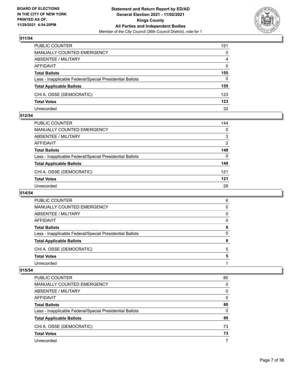

| PUBLIC COUNTER                                           | 151            |
|----------------------------------------------------------|----------------|
| MANUALLY COUNTED EMERGENCY                               | 0              |
| <b>ABSENTEE / MILITARY</b>                               | $\overline{4}$ |
| AFFIDAVIT                                                | $\mathbf{0}$   |
| <b>Total Ballots</b>                                     | 155            |
| Less - Inapplicable Federal/Special Presidential Ballots | $\Omega$       |
| <b>Total Applicable Ballots</b>                          | 155            |
| CHI A. OSSE (DEMOCRATIC)                                 | 123            |
| <b>Total Votes</b>                                       | 123            |
| Unrecorded                                               | 32             |

## **012/54**

| PUBLIC COUNTER                                           | 144      |
|----------------------------------------------------------|----------|
| <b>MANUALLY COUNTED EMERGENCY</b>                        | $\Omega$ |
| ABSENTEE / MILITARY                                      | 3        |
| AFFIDAVIT                                                | 2        |
| <b>Total Ballots</b>                                     | 149      |
| Less - Inapplicable Federal/Special Presidential Ballots | $\Omega$ |
| <b>Total Applicable Ballots</b>                          | 149      |
| CHI A. OSSE (DEMOCRATIC)                                 | 121      |
| <b>Total Votes</b>                                       | 121      |
| Unrecorded                                               | 28       |
|                                                          |          |

# **014/54**

| Unrecorded                                               |   |
|----------------------------------------------------------|---|
| <b>Total Votes</b>                                       | 5 |
| CHI A. OSSE (DEMOCRATIC)                                 | 5 |
| <b>Total Applicable Ballots</b>                          | 6 |
| Less - Inapplicable Federal/Special Presidential Ballots | 0 |
| <b>Total Ballots</b>                                     | 6 |
| AFFIDAVIT                                                | 0 |
| ABSENTEE / MILITARY                                      | 0 |
| <b>MANUALLY COUNTED EMERGENCY</b>                        | 0 |
| PUBLIC COUNTER                                           | 6 |

| PUBLIC COUNTER                                           | 80 |
|----------------------------------------------------------|----|
| MANUALLY COUNTED EMERGENCY                               | 0  |
| ABSENTEE / MILITARY                                      | 0  |
| AFFIDAVIT                                                | 0  |
| <b>Total Ballots</b>                                     | 80 |
| Less - Inapplicable Federal/Special Presidential Ballots | 0  |
| <b>Total Applicable Ballots</b>                          | 80 |
| CHI A. OSSE (DEMOCRATIC)                                 | 73 |
| <b>Total Votes</b>                                       | 73 |
| Unrecorded                                               |    |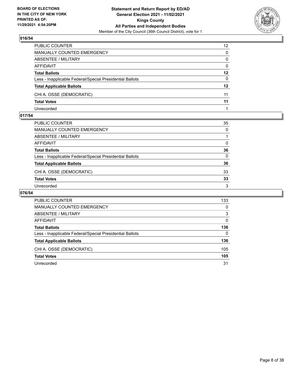

| PUBLIC COUNTER                                           | 12 <sup>2</sup> |
|----------------------------------------------------------|-----------------|
| <b>MANUALLY COUNTED EMERGENCY</b>                        | 0               |
| <b>ABSENTEE / MILITARY</b>                               | 0               |
| <b>AFFIDAVIT</b>                                         | $\mathbf{0}$    |
| <b>Total Ballots</b>                                     | $12 \,$         |
| Less - Inapplicable Federal/Special Presidential Ballots | 0               |
| <b>Total Applicable Ballots</b>                          | $12 \,$         |
| CHI A. OSSE (DEMOCRATIC)                                 | 11              |
| <b>Total Votes</b>                                       | 11              |
| Unrecorded                                               |                 |

## **017/54**

| PUBLIC COUNTER                                           | 35           |
|----------------------------------------------------------|--------------|
| MANUALLY COUNTED EMERGENCY                               | $\mathbf{0}$ |
| ABSENTEE / MILITARY                                      |              |
| AFFIDAVIT                                                | 0            |
| Total Ballots                                            | 36           |
| Less - Inapplicable Federal/Special Presidential Ballots | $\Omega$     |
| <b>Total Applicable Ballots</b>                          | 36           |
| CHI A. OSSE (DEMOCRATIC)                                 | 33           |
| <b>Total Votes</b>                                       | 33           |
| Unrecorded                                               | 3            |

| PUBLIC COUNTER                                           | 133      |
|----------------------------------------------------------|----------|
| MANUALLY COUNTED EMERGENCY                               | 0        |
| ABSENTEE / MILITARY                                      | 3        |
| AFFIDAVIT                                                | $\Omega$ |
| <b>Total Ballots</b>                                     | 136      |
| Less - Inapplicable Federal/Special Presidential Ballots | 0        |
| <b>Total Applicable Ballots</b>                          | 136      |
| CHI A. OSSE (DEMOCRATIC)                                 | 105      |
| <b>Total Votes</b>                                       | 105      |
| Unrecorded                                               | 31       |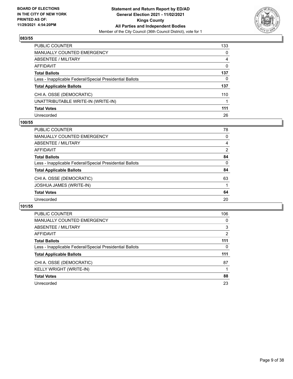

| PUBLIC COUNTER                                           | 133      |
|----------------------------------------------------------|----------|
| <b>MANUALLY COUNTED EMERGENCY</b>                        | 0        |
| <b>ABSENTEE / MILITARY</b>                               | 4        |
| AFFIDAVIT                                                | $\Omega$ |
| <b>Total Ballots</b>                                     | 137      |
| Less - Inapplicable Federal/Special Presidential Ballots | 0        |
| <b>Total Applicable Ballots</b>                          | 137      |
| CHI A. OSSE (DEMOCRATIC)                                 | 110      |
| UNATTRIBUTABLE WRITE-IN (WRITE-IN)                       |          |
| <b>Total Votes</b>                                       | 111      |
| Unrecorded                                               | 26       |

## **100/55**

| <b>PUBLIC COUNTER</b>                                    | 78       |
|----------------------------------------------------------|----------|
| <b>MANUALLY COUNTED EMERGENCY</b>                        | $\Omega$ |
| ABSENTEE / MILITARY                                      | 4        |
| AFFIDAVIT                                                | 2        |
| <b>Total Ballots</b>                                     | 84       |
| Less - Inapplicable Federal/Special Presidential Ballots | $\Omega$ |
| <b>Total Applicable Ballots</b>                          | 84       |
| CHI A. OSSE (DEMOCRATIC)                                 | 63       |
| <b>JOSHUA JAMES (WRITE-IN)</b>                           |          |
| <b>Total Votes</b>                                       | 64       |
| Unrecorded                                               | 20       |
|                                                          |          |

| <b>PUBLIC COUNTER</b>                                    | 106 |
|----------------------------------------------------------|-----|
| MANUALLY COUNTED EMERGENCY                               | 0   |
| ABSENTEE / MILITARY                                      | 3   |
| <b>AFFIDAVIT</b>                                         | 2   |
| <b>Total Ballots</b>                                     | 111 |
| Less - Inapplicable Federal/Special Presidential Ballots | 0   |
| <b>Total Applicable Ballots</b>                          | 111 |
| CHI A. OSSE (DEMOCRATIC)                                 | 87  |
| KELLY WRIGHT (WRITE-IN)                                  |     |
| <b>Total Votes</b>                                       | 88  |
|                                                          |     |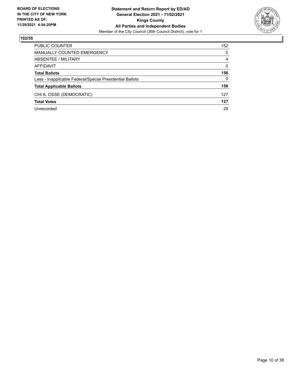

| PUBLIC COUNTER                                           | 152      |
|----------------------------------------------------------|----------|
| <b>MANUALLY COUNTED EMERGENCY</b>                        | $\Omega$ |
| ABSENTEE / MILITARY                                      | 4        |
| AFFIDAVIT                                                | $\Omega$ |
| <b>Total Ballots</b>                                     | 156      |
| Less - Inapplicable Federal/Special Presidential Ballots | $\Omega$ |
| <b>Total Applicable Ballots</b>                          | 156      |
| CHI A. OSSE (DEMOCRATIC)                                 | 127      |
| <b>Total Votes</b>                                       | 127      |
| Unrecorded                                               | 29       |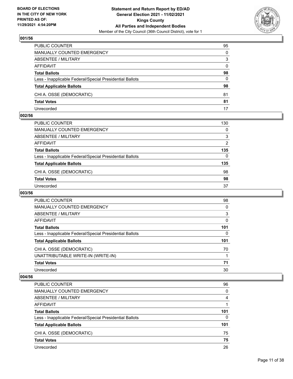

| PUBLIC COUNTER                                           | 95           |
|----------------------------------------------------------|--------------|
| MANUALLY COUNTED EMERGENCY                               | $\Omega$     |
| <b>ABSENTEE / MILITARY</b>                               | 3            |
| <b>AFFIDAVIT</b>                                         | $\mathbf{0}$ |
| <b>Total Ballots</b>                                     | 98           |
| Less - Inapplicable Federal/Special Presidential Ballots | 0            |
| <b>Total Applicable Ballots</b>                          | 98           |
| CHI A. OSSE (DEMOCRATIC)                                 | 81           |
| <b>Total Votes</b>                                       | 81           |
| Unrecorded                                               | 17           |

## **002/56**

| PUBLIC COUNTER                                           | 130 |
|----------------------------------------------------------|-----|
| MANUALLY COUNTED EMERGENCY                               | 0   |
| ABSENTEE / MILITARY                                      | 3   |
| AFFIDAVIT                                                | 2   |
| <b>Total Ballots</b>                                     | 135 |
| Less - Inapplicable Federal/Special Presidential Ballots | 0   |
| <b>Total Applicable Ballots</b>                          | 135 |
| CHI A. OSSE (DEMOCRATIC)                                 | 98  |
| <b>Total Votes</b>                                       | 98  |
| Unrecorded                                               | 37  |

# **003/56**

| <b>PUBLIC COUNTER</b>                                    | 98       |
|----------------------------------------------------------|----------|
| MANUALLY COUNTED EMERGENCY                               | 0        |
| ABSENTEE / MILITARY                                      | 3        |
| <b>AFFIDAVIT</b>                                         | 0        |
| <b>Total Ballots</b>                                     | 101      |
| Less - Inapplicable Federal/Special Presidential Ballots | $\Omega$ |
| <b>Total Applicable Ballots</b>                          | 101      |
| CHI A. OSSE (DEMOCRATIC)                                 | 70       |
| UNATTRIBUTABLE WRITE-IN (WRITE-IN)                       |          |
| <b>Total Votes</b>                                       | 71       |
| Unrecorded                                               | 30       |

| PUBLIC COUNTER                                           | 96       |
|----------------------------------------------------------|----------|
| <b>MANUALLY COUNTED EMERGENCY</b>                        | $\Omega$ |
| ABSENTEE / MILITARY                                      | 4        |
| AFFIDAVIT                                                |          |
| <b>Total Ballots</b>                                     | 101      |
| Less - Inapplicable Federal/Special Presidential Ballots | $\Omega$ |
| <b>Total Applicable Ballots</b>                          | 101      |
| CHI A. OSSE (DEMOCRATIC)                                 | 75       |
| <b>Total Votes</b>                                       | 75       |
| Unrecorded                                               | 26       |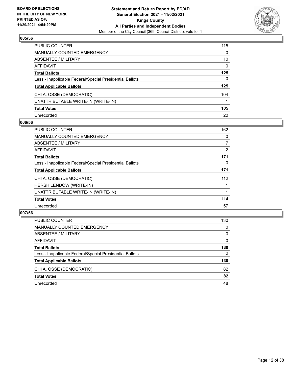

| PUBLIC COUNTER                                           | 115      |
|----------------------------------------------------------|----------|
| <b>MANUALLY COUNTED EMERGENCY</b>                        | 0        |
| <b>ABSENTEE / MILITARY</b>                               | 10       |
| AFFIDAVIT                                                | $\Omega$ |
| <b>Total Ballots</b>                                     | 125      |
| Less - Inapplicable Federal/Special Presidential Ballots | 0        |
| <b>Total Applicable Ballots</b>                          | 125      |
| CHI A. OSSE (DEMOCRATIC)                                 | 104      |
| UNATTRIBUTABLE WRITE-IN (WRITE-IN)                       |          |
| <b>Total Votes</b>                                       | 105      |
| Unrecorded                                               | 20       |

## **006/56**

| <b>PUBLIC COUNTER</b>                                    | 162            |
|----------------------------------------------------------|----------------|
| MANUALLY COUNTED EMERGENCY                               | 0              |
| ABSENTEE / MILITARY                                      | 7              |
| <b>AFFIDAVIT</b>                                         | $\overline{2}$ |
| <b>Total Ballots</b>                                     | 171            |
| Less - Inapplicable Federal/Special Presidential Ballots | 0              |
| <b>Total Applicable Ballots</b>                          | 171            |
| CHI A. OSSE (DEMOCRATIC)                                 | 112            |
| <b>HERSH LENDOW (WRITE-IN)</b>                           |                |
| UNATTRIBUTABLE WRITE-IN (WRITE-IN)                       |                |
| <b>Total Votes</b>                                       | 114            |
| Unrecorded                                               | 57             |

| PUBLIC COUNTER                                           | 130      |
|----------------------------------------------------------|----------|
| <b>MANUALLY COUNTED EMERGENCY</b>                        | $\Omega$ |
| ABSENTEE / MILITARY                                      | $\Omega$ |
| AFFIDAVIT                                                | $\Omega$ |
| <b>Total Ballots</b>                                     | 130      |
| Less - Inapplicable Federal/Special Presidential Ballots | $\Omega$ |
| <b>Total Applicable Ballots</b>                          | 130      |
| CHI A. OSSE (DEMOCRATIC)                                 | 82       |
| <b>Total Votes</b>                                       | 82       |
| Unrecorded                                               | 48       |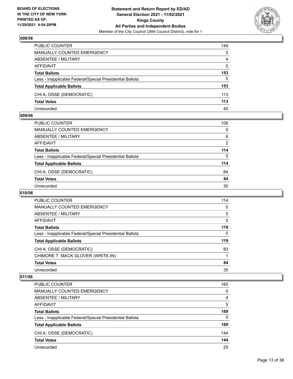

| PUBLIC COUNTER                                           | 149      |
|----------------------------------------------------------|----------|
| <b>MANUALLY COUNTED EMERGENCY</b>                        | $\Omega$ |
| ABSENTEE / MILITARY                                      | 4        |
| AFFIDAVIT                                                | $\Omega$ |
| <b>Total Ballots</b>                                     | 153      |
| Less - Inapplicable Federal/Special Presidential Ballots | 0        |
| <b>Total Applicable Ballots</b>                          | 153      |
| CHI A. OSSE (DEMOCRATIC)                                 | 113      |
| <b>Total Votes</b>                                       | 113      |
| Unrecorded                                               | 40       |

## **009/56**

| PUBLIC COUNTER                                           | 106           |
|----------------------------------------------------------|---------------|
| <b>MANUALLY COUNTED EMERGENCY</b>                        | $\Omega$      |
| <b>ABSENTEE / MILITARY</b>                               | 6             |
| <b>AFFIDAVIT</b>                                         | $\mathcal{P}$ |
| <b>Total Ballots</b>                                     | 114           |
| Less - Inapplicable Federal/Special Presidential Ballots | 0             |
| <b>Total Applicable Ballots</b>                          | 114           |
| CHI A. OSSE (DEMOCRATIC)                                 | 84            |
| <b>Total Votes</b>                                       | 84            |
| Unrecorded                                               | 30            |

# **010/56**

| <b>PUBLIC COUNTER</b>                                    | 114      |
|----------------------------------------------------------|----------|
| MANUALLY COUNTED EMERGENCY                               | $\Omega$ |
| ABSENTEE / MILITARY                                      | 5        |
| <b>AFFIDAVIT</b>                                         | 0        |
| <b>Total Ballots</b>                                     | 119      |
| Less - Inapplicable Federal/Special Presidential Ballots | $\Omega$ |
| <b>Total Applicable Ballots</b>                          | 119      |
| CHI A. OSSE (DEMOCRATIC)                                 | 83       |
| CHIMORE T. MACK GLOVER (WRITE-IN)                        |          |
| <b>Total Votes</b>                                       | 84       |
| Unrecorded                                               | 35       |

| PUBLIC COUNTER                                           | 160      |
|----------------------------------------------------------|----------|
| <b>MANUALLY COUNTED EMERGENCY</b>                        | $\Omega$ |
| ABSENTEE / MILITARY                                      | 4        |
| AFFIDAVIT                                                | 5        |
| <b>Total Ballots</b>                                     | 169      |
| Less - Inapplicable Federal/Special Presidential Ballots | $\Omega$ |
| <b>Total Applicable Ballots</b>                          | 169      |
| CHI A. OSSE (DEMOCRATIC)                                 | 144      |
| <b>Total Votes</b>                                       | 144      |
| Unrecorded                                               | 25       |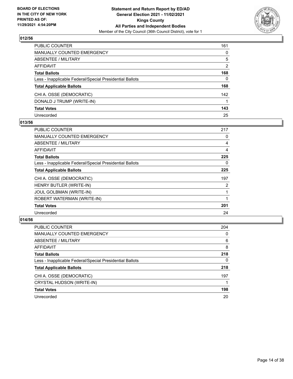

| PUBLIC COUNTER                                           | 161      |
|----------------------------------------------------------|----------|
| <b>MANUALLY COUNTED EMERGENCY</b>                        | 0        |
| <b>ABSENTEE / MILITARY</b>                               | 5        |
| <b>AFFIDAVIT</b>                                         | 2        |
| <b>Total Ballots</b>                                     | 168      |
| Less - Inapplicable Federal/Special Presidential Ballots | $\Omega$ |
| <b>Total Applicable Ballots</b>                          | 168      |
| CHI A. OSSE (DEMOCRATIC)                                 | 142      |
| DONALD J TRUMP (WRITE-IN)                                |          |
| <b>Total Votes</b>                                       | 143      |
| Unrecorded                                               | 25       |

## **013/56**

| <b>PUBLIC COUNTER</b>                                    | 217 |
|----------------------------------------------------------|-----|
| <b>MANUALLY COUNTED EMERGENCY</b>                        | 0   |
| ABSENTEE / MILITARY                                      | 4   |
| AFFIDAVIT                                                | 4   |
| <b>Total Ballots</b>                                     | 225 |
| Less - Inapplicable Federal/Special Presidential Ballots | 0   |
| <b>Total Applicable Ballots</b>                          | 225 |
| CHI A. OSSE (DEMOCRATIC)                                 | 197 |
| HENRY BUTLER (WRITE-IN)                                  | 2   |
| JOUL GOLBMAN (WRITE-IN)                                  | 1   |
| ROBERT WATERMAN (WRITE-IN)                               |     |
| <b>Total Votes</b>                                       | 201 |
| Unrecorded                                               | 24  |

| <b>PUBLIC COUNTER</b>                                    | 204      |
|----------------------------------------------------------|----------|
| MANUALLY COUNTED EMERGENCY                               | $\Omega$ |
| ABSENTEE / MILITARY                                      | 6        |
| AFFIDAVIT                                                | 8        |
| <b>Total Ballots</b>                                     | 218      |
| Less - Inapplicable Federal/Special Presidential Ballots | 0        |
| <b>Total Applicable Ballots</b>                          | 218      |
| CHI A. OSSE (DEMOCRATIC)                                 | 197      |
| CRYSTAL HUDSON (WRITE-IN)                                |          |
| <b>Total Votes</b>                                       | 198      |
| Unrecorded                                               | 20       |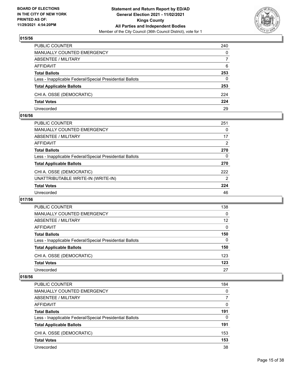

| PUBLIC COUNTER                                           | 240      |
|----------------------------------------------------------|----------|
| <b>MANUALLY COUNTED EMERGENCY</b>                        | $\Omega$ |
| <b>ABSENTEE / MILITARY</b>                               | 7        |
| AFFIDAVIT                                                | 6        |
| <b>Total Ballots</b>                                     | 253      |
| Less - Inapplicable Federal/Special Presidential Ballots | $\Omega$ |
| <b>Total Applicable Ballots</b>                          | 253      |
| CHI A. OSSE (DEMOCRATIC)                                 | 224      |
| <b>Total Votes</b>                                       | 224      |
| Unrecorded                                               | 29       |

## **016/56**

| PUBLIC COUNTER                                           | 251            |
|----------------------------------------------------------|----------------|
| MANUALLY COUNTED EMERGENCY                               | 0              |
| ABSENTEE / MILITARY                                      | 17             |
| AFFIDAVIT                                                | 2              |
| <b>Total Ballots</b>                                     | 270            |
| Less - Inapplicable Federal/Special Presidential Ballots | 0              |
| <b>Total Applicable Ballots</b>                          | 270            |
| CHI A. OSSE (DEMOCRATIC)                                 | 222            |
| UNATTRIBUTABLE WRITE-IN (WRITE-IN)                       | $\overline{2}$ |
| <b>Total Votes</b>                                       | 224            |
| Unrecorded                                               | 46             |
|                                                          |                |

## **017/56**

| <b>PUBLIC COUNTER</b>                                    | 138      |
|----------------------------------------------------------|----------|
| <b>MANUALLY COUNTED EMERGENCY</b>                        | $\Omega$ |
| <b>ABSENTEE / MILITARY</b>                               | 12       |
| AFFIDAVIT                                                | $\Omega$ |
| <b>Total Ballots</b>                                     | 150      |
| Less - Inapplicable Federal/Special Presidential Ballots | $\Omega$ |
| <b>Total Applicable Ballots</b>                          | 150      |
| CHI A. OSSE (DEMOCRATIC)                                 | 123      |
| <b>Total Votes</b>                                       | 123      |
| Unrecorded                                               | 27       |

| PUBLIC COUNTER                                           | 184      |
|----------------------------------------------------------|----------|
| <b>MANUALLY COUNTED EMERGENCY</b>                        | $\Omega$ |
| ABSENTEE / MILITARY                                      | 7        |
| AFFIDAVIT                                                | $\Omega$ |
| <b>Total Ballots</b>                                     | 191      |
| Less - Inapplicable Federal/Special Presidential Ballots | $\Omega$ |
| <b>Total Applicable Ballots</b>                          | 191      |
| CHI A. OSSE (DEMOCRATIC)                                 | 153      |
| <b>Total Votes</b>                                       | 153      |
| Unrecorded                                               | 38       |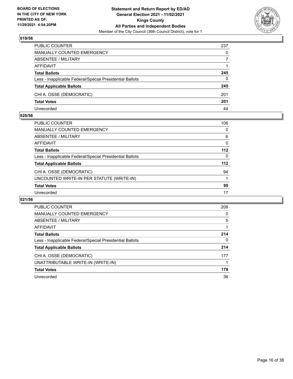

| PUBLIC COUNTER                                           | 237      |
|----------------------------------------------------------|----------|
| <b>MANUALLY COUNTED EMERGENCY</b>                        | 0        |
| <b>ABSENTEE / MILITARY</b>                               |          |
| AFFIDAVIT                                                |          |
| <b>Total Ballots</b>                                     | 245      |
| Less - Inapplicable Federal/Special Presidential Ballots | $\Omega$ |
| <b>Total Applicable Ballots</b>                          | 245      |
| CHI A. OSSE (DEMOCRATIC)                                 | 201      |
| <b>Total Votes</b>                                       | 201      |
| Unrecorded                                               | 44       |

## **020/56**

| <b>PUBLIC COUNTER</b>                                    | 106      |
|----------------------------------------------------------|----------|
| <b>MANUALLY COUNTED EMERGENCY</b>                        | $\Omega$ |
| ABSENTEE / MILITARY                                      | 6        |
| <b>AFFIDAVIT</b>                                         | 0        |
| <b>Total Ballots</b>                                     | $112$    |
| Less - Inapplicable Federal/Special Presidential Ballots | 0        |
| <b>Total Applicable Ballots</b>                          | 112      |
| CHI A. OSSE (DEMOCRATIC)                                 | 94       |
| UNCOUNTED WRITE-IN PER STATUTE (WRITE-IN)                |          |
| <b>Total Votes</b>                                       | 95       |
| Unrecorded                                               | 17       |
|                                                          |          |

| <b>PUBLIC COUNTER</b>                                    | 208      |
|----------------------------------------------------------|----------|
| <b>MANUALLY COUNTED EMERGENCY</b>                        | $\Omega$ |
| ABSENTEE / MILITARY                                      | 5        |
| <b>AFFIDAVIT</b>                                         |          |
| <b>Total Ballots</b>                                     | 214      |
| Less - Inapplicable Federal/Special Presidential Ballots | 0        |
| <b>Total Applicable Ballots</b>                          | 214      |
| CHI A. OSSE (DEMOCRATIC)                                 | 177      |
| UNATTRIBUTABLE WRITE-IN (WRITE-IN)                       |          |
| <b>Total Votes</b>                                       | 178      |
| Unrecorded                                               | 36       |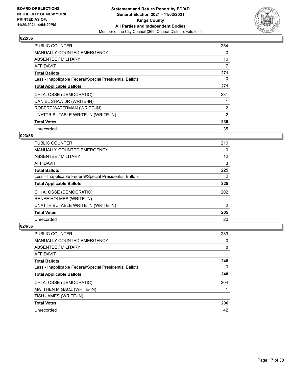

| <b>PUBLIC COUNTER</b>                                    | 254            |
|----------------------------------------------------------|----------------|
| <b>MANUALLY COUNTED EMERGENCY</b>                        | $\Omega$       |
| ABSENTEE / MILITARY                                      | 10             |
| AFFIDAVIT                                                | 7              |
| <b>Total Ballots</b>                                     | 271            |
| Less - Inapplicable Federal/Special Presidential Ballots | 0              |
| <b>Total Applicable Ballots</b>                          | 271            |
| CHI A. OSSE (DEMOCRATIC)                                 | 231            |
| DANIEL SHAW JR (WRITE-IN)                                |                |
| ROBERT WATERMAN (WRITE-IN)                               | $\overline{2}$ |
| UNATTRIBUTABLE WRITE-IN (WRITE-IN)                       | 2              |
| <b>Total Votes</b>                                       | 236            |
| Unrecorded                                               | 35             |

# **023/56**

| <b>PUBLIC COUNTER</b>                                    | 210 |
|----------------------------------------------------------|-----|
| <b>MANUALLY COUNTED EMERGENCY</b>                        | 0   |
| ABSENTEE / MILITARY                                      | 12  |
| AFFIDAVIT                                                | 3   |
| <b>Total Ballots</b>                                     | 225 |
| Less - Inapplicable Federal/Special Presidential Ballots | 0   |
| <b>Total Applicable Ballots</b>                          | 225 |
| CHI A. OSSE (DEMOCRATIC)                                 | 202 |
| <b>RENEE HOLMES (WRITE-IN)</b>                           |     |
| UNATTRIBUTABLE WRITE-IN (WRITE-IN)                       | 2   |
| <b>Total Votes</b>                                       | 205 |
| Unrecorded                                               | 20  |

| <b>PUBLIC COUNTER</b>                                    | 239 |
|----------------------------------------------------------|-----|
| <b>MANUALLY COUNTED EMERGENCY</b>                        | 0   |
| ABSENTEE / MILITARY                                      | 8   |
| AFFIDAVIT                                                |     |
| <b>Total Ballots</b>                                     | 248 |
| Less - Inapplicable Federal/Special Presidential Ballots | 0   |
| <b>Total Applicable Ballots</b>                          | 248 |
| CHI A. OSSE (DEMOCRATIC)                                 | 204 |
| MATTHEN MIGACZ (WRITE-IN)                                |     |
| TISH JAMES (WRITE-IN)                                    |     |
| <b>Total Votes</b>                                       | 206 |
| Unrecorded                                               | 42  |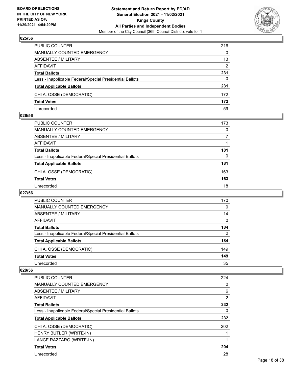

| PUBLIC COUNTER                                           | 216      |
|----------------------------------------------------------|----------|
| <b>MANUALLY COUNTED EMERGENCY</b>                        | $\Omega$ |
| <b>ABSENTEE / MILITARY</b>                               | 13       |
| AFFIDAVIT                                                | 2        |
| <b>Total Ballots</b>                                     | 231      |
| Less - Inapplicable Federal/Special Presidential Ballots | $\Omega$ |
| <b>Total Applicable Ballots</b>                          | 231      |
| CHI A. OSSE (DEMOCRATIC)                                 | 172      |
| <b>Total Votes</b>                                       | 172      |
| Unrecorded                                               | 59       |

## **026/56**

| <b>PUBLIC COUNTER</b>                                    | 173      |
|----------------------------------------------------------|----------|
| MANUALLY COUNTED EMERGENCY                               | $\Omega$ |
| ABSENTEE / MILITARY                                      | 7        |
| AFFIDAVIT                                                |          |
| <b>Total Ballots</b>                                     | 181      |
| Less - Inapplicable Federal/Special Presidential Ballots | 0        |
| <b>Total Applicable Ballots</b>                          | 181      |
| CHI A. OSSE (DEMOCRATIC)                                 | 163      |
| <b>Total Votes</b>                                       | 163      |
| Unrecorded                                               | 18       |

# **027/56**

| PUBLIC COUNTER                                           | 170      |
|----------------------------------------------------------|----------|
| MANUALLY COUNTED EMERGENCY                               | $\Omega$ |
| ABSENTEE / MILITARY                                      | 14       |
| AFFIDAVIT                                                | $\Omega$ |
| <b>Total Ballots</b>                                     | 184      |
| Less - Inapplicable Federal/Special Presidential Ballots | 0        |
| <b>Total Applicable Ballots</b>                          | 184      |
| CHI A. OSSE (DEMOCRATIC)                                 | 149      |
| <b>Total Votes</b>                                       | 149      |
| Unrecorded                                               | 35       |

| PUBLIC COUNTER                                           | 224 |
|----------------------------------------------------------|-----|
| <b>MANUALLY COUNTED EMERGENCY</b>                        | 0   |
| ABSENTEE / MILITARY                                      | 6   |
| <b>AFFIDAVIT</b>                                         | 2   |
| <b>Total Ballots</b>                                     | 232 |
| Less - Inapplicable Federal/Special Presidential Ballots | 0   |
| <b>Total Applicable Ballots</b>                          | 232 |
| CHI A. OSSE (DEMOCRATIC)                                 | 202 |
| HENRY BUTLER (WRITE-IN)                                  |     |
| LANCE RAZZARO (WRITE-IN)                                 |     |
| <b>Total Votes</b>                                       | 204 |
| Unrecorded                                               | 28  |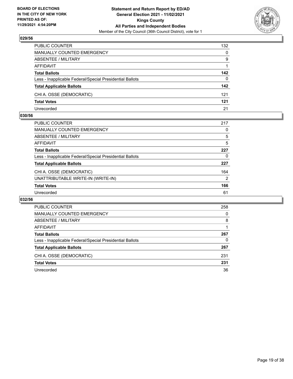

| PUBLIC COUNTER                                           | 132          |
|----------------------------------------------------------|--------------|
| <b>MANUALLY COUNTED EMERGENCY</b>                        | $\mathbf{0}$ |
| ABSENTEE / MILITARY                                      | 9            |
| AFFIDAVIT                                                |              |
| <b>Total Ballots</b>                                     | 142          |
| Less - Inapplicable Federal/Special Presidential Ballots | $\Omega$     |
| <b>Total Applicable Ballots</b>                          | 142          |
| CHI A. OSSE (DEMOCRATIC)                                 | 121          |
| <b>Total Votes</b>                                       | 121          |
| Unrecorded                                               | 21           |

## **030/56**

| <b>PUBLIC COUNTER</b>                                    | 217            |
|----------------------------------------------------------|----------------|
| <b>MANUALLY COUNTED EMERGENCY</b>                        | 0              |
| ABSENTEE / MILITARY                                      | 5              |
| AFFIDAVIT                                                | 5              |
| <b>Total Ballots</b>                                     | 227            |
| Less - Inapplicable Federal/Special Presidential Ballots | 0              |
| <b>Total Applicable Ballots</b>                          | 227            |
| CHI A. OSSE (DEMOCRATIC)                                 | 164            |
| UNATTRIBUTABLE WRITE-IN (WRITE-IN)                       | $\overline{2}$ |
| <b>Total Votes</b>                                       | 166            |
| Unrecorded                                               | 61             |
|                                                          |                |

| <b>PUBLIC COUNTER</b>                                    | 258      |
|----------------------------------------------------------|----------|
| <b>MANUALLY COUNTED EMERGENCY</b>                        | $\Omega$ |
| ABSENTEE / MILITARY                                      | 8        |
| AFFIDAVIT                                                |          |
| <b>Total Ballots</b>                                     | 267      |
| Less - Inapplicable Federal/Special Presidential Ballots | 0        |
| <b>Total Applicable Ballots</b>                          | 267      |
| CHI A. OSSE (DEMOCRATIC)                                 | 231      |
| <b>Total Votes</b>                                       | 231      |
| Unrecorded                                               | 36       |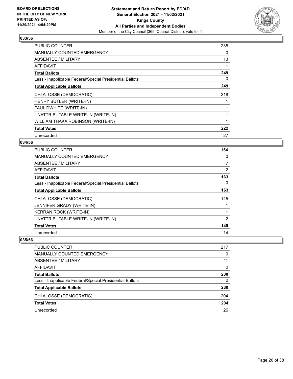

| <b>PUBLIC COUNTER</b>                                    | 235 |
|----------------------------------------------------------|-----|
| <b>MANUALLY COUNTED EMERGENCY</b>                        | 0   |
| ABSENTEE / MILITARY                                      | 13  |
| <b>AFFIDAVIT</b>                                         |     |
| <b>Total Ballots</b>                                     | 249 |
| Less - Inapplicable Federal/Special Presidential Ballots | 0   |
| <b>Total Applicable Ballots</b>                          | 249 |
| CHI A. OSSE (DEMOCRATIC)                                 | 218 |
| HENRY BUTLER (WRITE-IN)                                  |     |
| PAUL DWHITE (WRITE-IN)                                   |     |
| UNATTRIBUTABLE WRITE-IN (WRITE-IN)                       |     |
| WILLIAM THAKA ROBINSON (WRITE-IN)                        |     |
| <b>Total Votes</b>                                       | 222 |
| Unrecorded                                               | 27  |

# **034/56**

| PUBLIC COUNTER                                           | 154 |
|----------------------------------------------------------|-----|
| <b>MANUALLY COUNTED EMERGENCY</b>                        | 0   |
| ABSENTEE / MILITARY                                      | 7   |
| AFFIDAVIT                                                | 2   |
| <b>Total Ballots</b>                                     | 163 |
| Less - Inapplicable Federal/Special Presidential Ballots | 0   |
| <b>Total Applicable Ballots</b>                          | 163 |
| CHI A. OSSE (DEMOCRATIC)                                 | 145 |
| JENNIFER GRADY (WRITE-IN)                                |     |
| <b>KERRAN ROCK (WRITE-IN)</b>                            |     |
| UNATTRIBUTABLE WRITE-IN (WRITE-IN)                       | 2   |
| <b>Total Votes</b>                                       | 149 |
| Unrecorded                                               | 14  |

| <b>PUBLIC COUNTER</b>                                    | 217      |
|----------------------------------------------------------|----------|
| MANUALLY COUNTED EMERGENCY                               | $\Omega$ |
| ABSENTEE / MILITARY                                      | 11       |
| AFFIDAVIT                                                | 2        |
| <b>Total Ballots</b>                                     | 230      |
| Less - Inapplicable Federal/Special Presidential Ballots | 0        |
| <b>Total Applicable Ballots</b>                          | 230      |
| CHI A. OSSE (DEMOCRATIC)                                 | 204      |
| <b>Total Votes</b>                                       | 204      |
| Unrecorded                                               | 26       |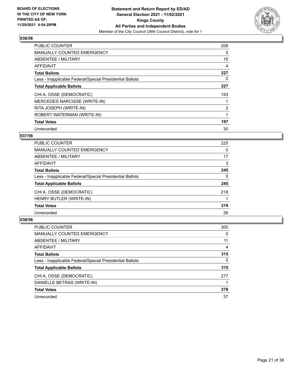

| <b>PUBLIC COUNTER</b>                                    | 208            |
|----------------------------------------------------------|----------------|
| <b>MANUALLY COUNTED EMERGENCY</b>                        | 0              |
| ABSENTEE / MILITARY                                      | 15             |
| <b>AFFIDAVIT</b>                                         | 4              |
| <b>Total Ballots</b>                                     | 227            |
| Less - Inapplicable Federal/Special Presidential Ballots | 0              |
| <b>Total Applicable Ballots</b>                          | 227            |
| CHI A. OSSE (DEMOCRATIC)                                 | 193            |
| <b>MERCEDES NARCISSE (WRITE-IN)</b>                      |                |
| RITA JOSEPH (WRITE-IN)                                   | $\overline{2}$ |
| ROBERT WATERMAN (WRITE-IN)                               |                |
| <b>Total Votes</b>                                       | 197            |
| Unrecorded                                               | 30             |

# **037/56**

| <b>PUBLIC COUNTER</b>                                    | 225      |
|----------------------------------------------------------|----------|
| <b>MANUALLY COUNTED EMERGENCY</b>                        | $\Omega$ |
| ABSENTEE / MILITARY                                      | 17       |
| <b>AFFIDAVIT</b>                                         | 3        |
| <b>Total Ballots</b>                                     | 245      |
| Less - Inapplicable Federal/Special Presidential Ballots | 0        |
| <b>Total Applicable Ballots</b>                          | 245      |
| CHI A. OSSE (DEMOCRATIC)                                 | 218      |
| HENRY BUTLER (WRITE-IN)                                  |          |
| <b>Total Votes</b>                                       | 219      |
| Unrecorded                                               | 26       |

| PUBLIC COUNTER                                           | 300      |
|----------------------------------------------------------|----------|
| <b>MANUALLY COUNTED EMERGENCY</b>                        | 0        |
| ABSENTEE / MILITARY                                      | 11       |
| AFFIDAVIT                                                | 4        |
| <b>Total Ballots</b>                                     | 315      |
| Less - Inapplicable Federal/Special Presidential Ballots | $\Omega$ |
| <b>Total Applicable Ballots</b>                          | 315      |
| CHI A. OSSE (DEMOCRATIC)                                 | 277      |
| DANIELLE BETRAS (WRITE-IN)                               |          |
| <b>Total Votes</b>                                       | 278      |
| Unrecorded                                               | 37       |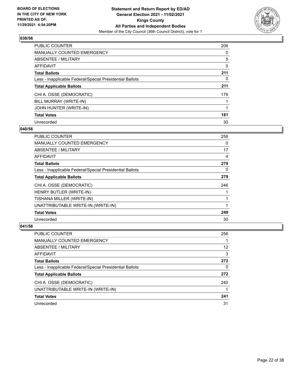

| <b>PUBLIC COUNTER</b>                                    | 206      |
|----------------------------------------------------------|----------|
| <b>MANUALLY COUNTED EMERGENCY</b>                        | $\Omega$ |
| ABSENTEE / MILITARY                                      | 5        |
| AFFIDAVIT                                                | 0        |
| <b>Total Ballots</b>                                     | 211      |
| Less - Inapplicable Federal/Special Presidential Ballots | 0        |
| <b>Total Applicable Ballots</b>                          | 211      |
| CHI A. OSSE (DEMOCRATIC)                                 | 179      |
| BILL MURRAY (WRITE-IN)                                   |          |
| JOHN HUNTER (WRITE-IN)                                   |          |
| <b>Total Votes</b>                                       | 181      |
| Unrecorded                                               | 30       |

## **040/56**

| PUBLIC COUNTER                                           | 258      |
|----------------------------------------------------------|----------|
| <b>MANUALLY COUNTED EMERGENCY</b>                        | $\Omega$ |
| <b>ABSENTEE / MILITARY</b>                               | 17       |
| <b>AFFIDAVIT</b>                                         | 4        |
| <b>Total Ballots</b>                                     | 279      |
| Less - Inapplicable Federal/Special Presidential Ballots | 0        |
| <b>Total Applicable Ballots</b>                          | 279      |
| CHI A. OSSE (DEMOCRATIC)                                 | 246      |
| HENRY BUTLER (WRITE-IN)                                  |          |
| TISHANA MILLER (WRITE-IN)                                |          |
| UNATTRIBUTABLE WRITE-IN (WRITE-IN)                       |          |
| <b>Total Votes</b>                                       | 249      |
| Unrecorded                                               | 30       |

| PUBLIC COUNTER                                           | 256 |
|----------------------------------------------------------|-----|
| <b>MANUALLY COUNTED EMERGENCY</b>                        |     |
| ABSENTEE / MILITARY                                      | 12  |
| AFFIDAVIT                                                | 3   |
| <b>Total Ballots</b>                                     | 272 |
| Less - Inapplicable Federal/Special Presidential Ballots | 0   |
| <b>Total Applicable Ballots</b>                          | 272 |
| CHI A. OSSE (DEMOCRATIC)                                 | 240 |
| UNATTRIBUTABLE WRITE-IN (WRITE-IN)                       |     |
| <b>Total Votes</b>                                       | 241 |
| Unrecorded                                               | 31  |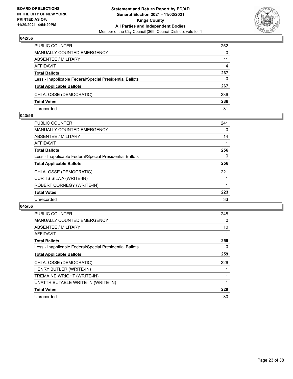

| PUBLIC COUNTER                                           | 252      |
|----------------------------------------------------------|----------|
| <b>MANUALLY COUNTED EMERGENCY</b>                        | $\Omega$ |
| <b>ABSENTEE / MILITARY</b>                               | 11       |
| AFFIDAVIT                                                | 4        |
| <b>Total Ballots</b>                                     | 267      |
| Less - Inapplicable Federal/Special Presidential Ballots | $\Omega$ |
| <b>Total Applicable Ballots</b>                          | 267      |
| CHI A. OSSE (DEMOCRATIC)                                 | 236      |
| <b>Total Votes</b>                                       | 236      |
| Unrecorded                                               | 31       |

## **043/56**

| <b>PUBLIC COUNTER</b>                                    | 241 |
|----------------------------------------------------------|-----|
| MANUALLY COUNTED EMERGENCY                               | 0   |
| ABSENTEE / MILITARY                                      | 14  |
| AFFIDAVIT                                                |     |
| <b>Total Ballots</b>                                     | 256 |
| Less - Inapplicable Federal/Special Presidential Ballots | 0   |
| <b>Total Applicable Ballots</b>                          | 256 |
| CHI A. OSSE (DEMOCRATIC)                                 | 221 |
| CURTIS SILWA (WRITE-IN)                                  |     |
| ROBERT CORNEGY (WRITE-IN)                                |     |
| <b>Total Votes</b>                                       | 223 |
| Unrecorded                                               | 33  |
|                                                          |     |

| <b>PUBLIC COUNTER</b>                                    | 248 |
|----------------------------------------------------------|-----|
| <b>MANUALLY COUNTED EMERGENCY</b>                        | 0   |
| ABSENTEE / MILITARY                                      | 10  |
| AFFIDAVIT                                                |     |
| <b>Total Ballots</b>                                     | 259 |
| Less - Inapplicable Federal/Special Presidential Ballots | 0   |
| <b>Total Applicable Ballots</b>                          | 259 |
| CHI A. OSSE (DEMOCRATIC)                                 | 226 |
| HENRY BUTLER (WRITE-IN)                                  |     |
| TREMAINE WRIGHT (WRITE-IN)                               |     |
| UNATTRIBUTABLE WRITE-IN (WRITE-IN)                       |     |
| <b>Total Votes</b>                                       | 229 |
| Unrecorded                                               | 30  |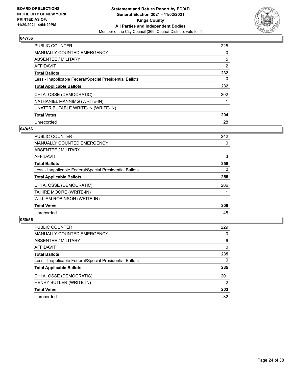

| PUBLIC COUNTER                                           | 225            |
|----------------------------------------------------------|----------------|
| <b>MANUALLY COUNTED EMERGENCY</b>                        | $\Omega$       |
| ABSENTEE / MILITARY                                      | 5              |
| AFFIDAVIT                                                | $\overline{2}$ |
| <b>Total Ballots</b>                                     | 232            |
| Less - Inapplicable Federal/Special Presidential Ballots | 0              |
| <b>Total Applicable Ballots</b>                          | 232            |
| CHI A. OSSE (DEMOCRATIC)                                 | 202            |
| NATHANIEL MANNIMG (WRITE-IN)                             |                |
| UNATTRIBUTABLE WRITE-IN (WRITE-IN)                       |                |
| <b>Total Votes</b>                                       | 204            |
| Unrecorded                                               | 28             |

## **049/56**

| PUBLIC COUNTER                                           | 242      |
|----------------------------------------------------------|----------|
| <b>MANUALLY COUNTED EMERGENCY</b>                        | 0        |
| ABSENTEE / MILITARY                                      | 11       |
| <b>AFFIDAVIT</b>                                         | 3        |
| <b>Total Ballots</b>                                     | 256      |
| Less - Inapplicable Federal/Special Presidential Ballots | $\Omega$ |
| <b>Total Applicable Ballots</b>                          | 256      |
| CHI A. OSSE (DEMOCRATIC)                                 | 206      |
| TAHIRE MOORE (WRITE-IN)                                  |          |
| WILLIAM ROBINSON (WRITE-IN)                              |          |
| <b>Total Votes</b>                                       | 208      |
| Unrecorded                                               | 48       |

| <b>PUBLIC COUNTER</b>                                    | 229            |
|----------------------------------------------------------|----------------|
| <b>MANUALLY COUNTED EMERGENCY</b>                        | $\Omega$       |
| ABSENTEE / MILITARY                                      | 6              |
| AFFIDAVIT                                                | $\Omega$       |
| <b>Total Ballots</b>                                     | 235            |
| Less - Inapplicable Federal/Special Presidential Ballots | $\Omega$       |
| <b>Total Applicable Ballots</b>                          | 235            |
| CHI A. OSSE (DEMOCRATIC)                                 | 201            |
| HENRY BUTLER (WRITE-IN)                                  | $\overline{2}$ |
| <b>Total Votes</b>                                       | 203            |
| Unrecorded                                               | 32             |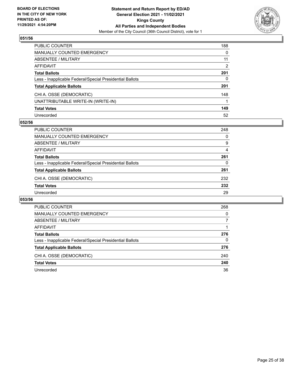

| PUBLIC COUNTER                                           | 188           |
|----------------------------------------------------------|---------------|
| <b>MANUALLY COUNTED EMERGENCY</b>                        | 0             |
| ABSENTEE / MILITARY                                      | 11            |
| AFFIDAVIT                                                | $\mathcal{P}$ |
| <b>Total Ballots</b>                                     | 201           |
| Less - Inapplicable Federal/Special Presidential Ballots | 0             |
| <b>Total Applicable Ballots</b>                          | 201           |
| CHI A. OSSE (DEMOCRATIC)                                 | 148           |
| UNATTRIBUTABLE WRITE-IN (WRITE-IN)                       |               |
| <b>Total Votes</b>                                       | 149           |
| Unrecorded                                               | 52            |

# **052/56**

| <b>PUBLIC COUNTER</b>                                    | 248      |
|----------------------------------------------------------|----------|
| MANUALLY COUNTED EMERGENCY                               | $\Omega$ |
| ABSENTEE / MILITARY                                      | 9        |
| AFFIDAVIT                                                | 4        |
| <b>Total Ballots</b>                                     | 261      |
| Less - Inapplicable Federal/Special Presidential Ballots | $\Omega$ |
| <b>Total Applicable Ballots</b>                          | 261      |
| CHI A. OSSE (DEMOCRATIC)                                 | 232      |
| <b>Total Votes</b>                                       | 232      |
| Unrecorded                                               | 29       |

| <b>PUBLIC COUNTER</b>                                    | 268      |
|----------------------------------------------------------|----------|
| <b>MANUALLY COUNTED EMERGENCY</b>                        | $\Omega$ |
| ABSENTEE / MILITARY                                      |          |
| AFFIDAVIT                                                |          |
| <b>Total Ballots</b>                                     | 276      |
| Less - Inapplicable Federal/Special Presidential Ballots | 0        |
| <b>Total Applicable Ballots</b>                          | 276      |
| CHI A. OSSE (DEMOCRATIC)                                 | 240      |
| <b>Total Votes</b>                                       | 240      |
| Unrecorded                                               | 36       |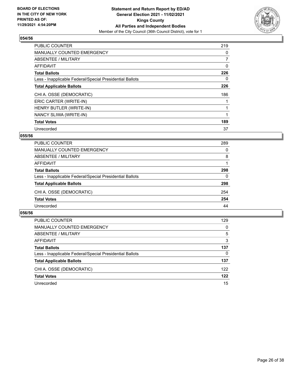

| <b>PUBLIC COUNTER</b>                                    | 219            |
|----------------------------------------------------------|----------------|
| <b>MANUALLY COUNTED EMERGENCY</b>                        | 0              |
| ABSENTEE / MILITARY                                      | $\overline{7}$ |
| AFFIDAVIT                                                | 0              |
| <b>Total Ballots</b>                                     | 226            |
| Less - Inapplicable Federal/Special Presidential Ballots | 0              |
| <b>Total Applicable Ballots</b>                          | 226            |
| CHI A. OSSE (DEMOCRATIC)                                 | 186            |
| ERIC CARTER (WRITE-IN)                                   |                |
| HENRY BUTLER (WRITE-IN)                                  |                |
| NANCY SLIWA (WRITE-IN)                                   |                |
| <b>Total Votes</b>                                       | 189            |
| Unrecorded                                               | 37             |

# **055/56**

| PUBLIC COUNTER                                           | 289      |
|----------------------------------------------------------|----------|
| <b>MANUALLY COUNTED EMERGENCY</b>                        | $\Omega$ |
| ABSENTEE / MILITARY                                      | 8        |
| AFFIDAVIT                                                |          |
| <b>Total Ballots</b>                                     | 298      |
| Less - Inapplicable Federal/Special Presidential Ballots | $\Omega$ |
| <b>Total Applicable Ballots</b>                          | 298      |
| CHI A. OSSE (DEMOCRATIC)                                 | 254      |
| <b>Total Votes</b>                                       | 254      |
| Unrecorded                                               | 44       |

| PUBLIC COUNTER                                           | 129      |
|----------------------------------------------------------|----------|
| MANUALLY COUNTED EMERGENCY                               | $\Omega$ |
| ABSENTEE / MILITARY                                      | 5        |
| AFFIDAVIT                                                | 3        |
| <b>Total Ballots</b>                                     | 137      |
| Less - Inapplicable Federal/Special Presidential Ballots | 0        |
| <b>Total Applicable Ballots</b>                          | 137      |
| CHI A. OSSE (DEMOCRATIC)                                 | 122      |
| <b>Total Votes</b>                                       | 122      |
| Unrecorded                                               | 15       |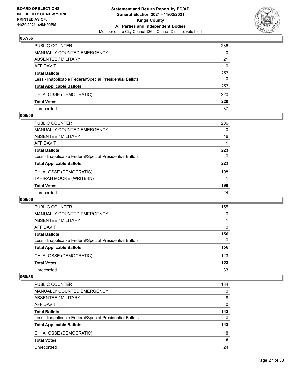

| PUBLIC COUNTER                                           | 236      |
|----------------------------------------------------------|----------|
| <b>MANUALLY COUNTED EMERGENCY</b>                        | $\Omega$ |
| <b>ABSENTEE / MILITARY</b>                               | 21       |
| AFFIDAVIT                                                | $\Omega$ |
| <b>Total Ballots</b>                                     | 257      |
| Less - Inapplicable Federal/Special Presidential Ballots | 0        |
| <b>Total Applicable Ballots</b>                          | 257      |
| CHI A. OSSE (DEMOCRATIC)                                 | 220      |
| <b>Total Votes</b>                                       | 220      |
| Unrecorded                                               | 37       |

## **058/56**

| <b>PUBLIC COUNTER</b>                                    | 206      |
|----------------------------------------------------------|----------|
| <b>MANUALLY COUNTED EMERGENCY</b>                        | $\Omega$ |
| ABSENTEE / MILITARY                                      | 16       |
| AFFIDAVIT                                                |          |
| <b>Total Ballots</b>                                     | 223      |
| Less - Inapplicable Federal/Special Presidential Ballots | 0        |
| <b>Total Applicable Ballots</b>                          | 223      |
| CHI A. OSSE (DEMOCRATIC)                                 | 198      |
| TAHIRAH MOORE (WRITE-IN)                                 |          |
| <b>Total Votes</b>                                       | 199      |
| Unrecorded                                               | 24       |
|                                                          |          |

## **059/56**

| <b>PUBLIC COUNTER</b>                                    | 155 |
|----------------------------------------------------------|-----|
| <b>MANUALLY COUNTED EMERGENCY</b>                        | 0   |
| ABSENTEE / MILITARY                                      |     |
| AFFIDAVIT                                                | 0   |
| <b>Total Ballots</b>                                     | 156 |
| Less - Inapplicable Federal/Special Presidential Ballots | 0   |
| <b>Total Applicable Ballots</b>                          | 156 |
| CHI A. OSSE (DEMOCRATIC)                                 | 123 |
| <b>Total Votes</b>                                       | 123 |
| Unrecorded                                               | 33  |

| PUBLIC COUNTER                                           | 134      |
|----------------------------------------------------------|----------|
| <b>MANUALLY COUNTED EMERGENCY</b>                        | $\Omega$ |
| ABSENTEE / MILITARY                                      | 8        |
| AFFIDAVIT                                                | $\Omega$ |
| <b>Total Ballots</b>                                     | 142      |
| Less - Inapplicable Federal/Special Presidential Ballots | $\Omega$ |
| <b>Total Applicable Ballots</b>                          | 142      |
| CHI A. OSSE (DEMOCRATIC)                                 | 118      |
| <b>Total Votes</b>                                       | 118      |
| Unrecorded                                               | 24       |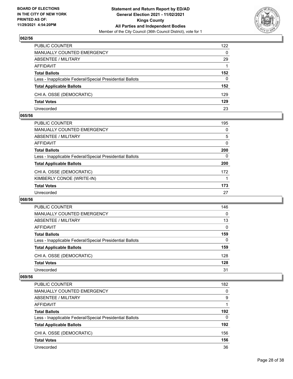

| PUBLIC COUNTER                                           | 122      |
|----------------------------------------------------------|----------|
| <b>MANUALLY COUNTED EMERGENCY</b>                        | $\Omega$ |
| <b>ABSENTEE / MILITARY</b>                               | 29       |
| AFFIDAVIT                                                |          |
| <b>Total Ballots</b>                                     | 152      |
| Less - Inapplicable Federal/Special Presidential Ballots | $\Omega$ |
| <b>Total Applicable Ballots</b>                          | 152      |
| CHI A. OSSE (DEMOCRATIC)                                 | 129      |
| <b>Total Votes</b>                                       | 129      |
| Unrecorded                                               | 23       |

## **065/56**

| PUBLIC COUNTER                                           | 195      |
|----------------------------------------------------------|----------|
| <b>MANUALLY COUNTED EMERGENCY</b>                        | $\Omega$ |
| ABSENTEE / MILITARY                                      | 5        |
| AFFIDAVIT                                                | $\Omega$ |
| <b>Total Ballots</b>                                     | 200      |
| Less - Inapplicable Federal/Special Presidential Ballots | 0        |
| <b>Total Applicable Ballots</b>                          | 200      |
| CHI A. OSSE (DEMOCRATIC)                                 | 172      |
| KIMBERLY CONOE (WRITE-IN)                                |          |
| <b>Total Votes</b>                                       | 173      |
| Unrecorded                                               | 27       |
|                                                          |          |

## **068/56**

| <b>PUBLIC COUNTER</b>                                    | 146      |
|----------------------------------------------------------|----------|
| <b>MANUALLY COUNTED EMERGENCY</b>                        | $\Omega$ |
| ABSENTEE / MILITARY                                      | 13       |
| AFFIDAVIT                                                | $\Omega$ |
| <b>Total Ballots</b>                                     | 159      |
| Less - Inapplicable Federal/Special Presidential Ballots | 0        |
| <b>Total Applicable Ballots</b>                          | 159      |
| CHI A. OSSE (DEMOCRATIC)                                 | 128      |
| <b>Total Votes</b>                                       | 128      |
| Unrecorded                                               | 31       |

| PUBLIC COUNTER                                           | 182      |
|----------------------------------------------------------|----------|
| <b>MANUALLY COUNTED EMERGENCY</b>                        | $\Omega$ |
| ABSENTEE / MILITARY                                      | 9        |
| AFFIDAVIT                                                |          |
| <b>Total Ballots</b>                                     | 192      |
| Less - Inapplicable Federal/Special Presidential Ballots | $\Omega$ |
| <b>Total Applicable Ballots</b>                          | 192      |
| CHI A. OSSE (DEMOCRATIC)                                 | 156      |
| <b>Total Votes</b>                                       | 156      |
| Unrecorded                                               | 36       |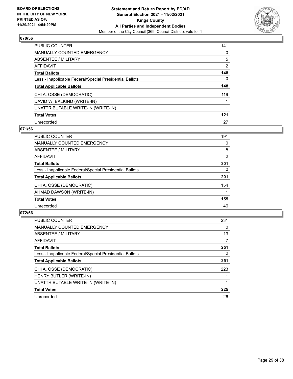

| <b>PUBLIC COUNTER</b>                                    | 141            |
|----------------------------------------------------------|----------------|
| <b>MANUALLY COUNTED EMERGENCY</b>                        | $\Omega$       |
| ABSENTEE / MILITARY                                      | 5              |
| AFFIDAVIT                                                | $\overline{2}$ |
| <b>Total Ballots</b>                                     | 148            |
| Less - Inapplicable Federal/Special Presidential Ballots | 0              |
| <b>Total Applicable Ballots</b>                          | 148            |
| CHI A. OSSE (DEMOCRATIC)                                 | 119            |
| DAVID W. BALKIND (WRITE-IN)                              |                |
| UNATTRIBUTABLE WRITE-IN (WRITE-IN)                       |                |
| <b>Total Votes</b>                                       | 121            |
| Unrecorded                                               | 27             |

## **071/56**

| PUBLIC COUNTER                                           | 191      |
|----------------------------------------------------------|----------|
| <b>MANUALLY COUNTED EMERGENCY</b>                        | 0        |
| ABSENTEE / MILITARY                                      | 8        |
| AFFIDAVIT                                                | 2        |
| <b>Total Ballots</b>                                     | 201      |
| Less - Inapplicable Federal/Special Presidential Ballots | $\Omega$ |
| <b>Total Applicable Ballots</b>                          | 201      |
| CHI A. OSSE (DEMOCRATIC)                                 | 154      |
| AHMAD DAWSON (WRITE-IN)                                  |          |
| <b>Total Votes</b>                                       | 155      |
| Unrecorded                                               | 46       |

| <b>PUBLIC COUNTER</b>                                    | 231      |
|----------------------------------------------------------|----------|
| <b>MANUALLY COUNTED EMERGENCY</b>                        | 0        |
| ABSENTEE / MILITARY                                      | 13       |
| AFFIDAVIT                                                | 7        |
| <b>Total Ballots</b>                                     | 251      |
| Less - Inapplicable Federal/Special Presidential Ballots | $\Omega$ |
| <b>Total Applicable Ballots</b>                          | 251      |
| CHI A. OSSE (DEMOCRATIC)                                 | 223      |
| HENRY BUTLER (WRITE-IN)                                  |          |
| UNATTRIBUTABLE WRITE-IN (WRITE-IN)                       |          |
| <b>Total Votes</b>                                       | 225      |
| Unrecorded                                               | 26       |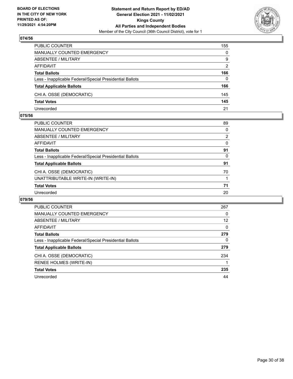

| PUBLIC COUNTER                                           | 155          |
|----------------------------------------------------------|--------------|
| <b>MANUALLY COUNTED EMERGENCY</b>                        | $\Omega$     |
| <b>ABSENTEE / MILITARY</b>                               | 9            |
| AFFIDAVIT                                                | 2            |
| <b>Total Ballots</b>                                     | 166          |
| Less - Inapplicable Federal/Special Presidential Ballots | $\mathbf{0}$ |
| <b>Total Applicable Ballots</b>                          | 166          |
| CHI A. OSSE (DEMOCRATIC)                                 | 145          |
| <b>Total Votes</b>                                       | 145          |
| Unrecorded                                               | 21           |

## **075/56**

| <b>PUBLIC COUNTER</b>                                    | 89       |
|----------------------------------------------------------|----------|
| <b>MANUALLY COUNTED EMERGENCY</b>                        | $\Omega$ |
| <b>ABSENTEE / MILITARY</b>                               | 2        |
| AFFIDAVIT                                                | $\Omega$ |
| <b>Total Ballots</b>                                     | 91       |
| Less - Inapplicable Federal/Special Presidential Ballots | $\Omega$ |
| <b>Total Applicable Ballots</b>                          | 91       |
| CHI A. OSSE (DEMOCRATIC)                                 | 70       |
| UNATTRIBUTABLE WRITE-IN (WRITE-IN)                       |          |
| <b>Total Votes</b>                                       | 71       |
| Unrecorded                                               | 20       |
|                                                          |          |

| PUBLIC COUNTER                                           | 267      |
|----------------------------------------------------------|----------|
| MANUALLY COUNTED EMERGENCY                               | 0        |
| ABSENTEE / MILITARY                                      | 12       |
| AFFIDAVIT                                                | $\Omega$ |
| <b>Total Ballots</b>                                     | 279      |
| Less - Inapplicable Federal/Special Presidential Ballots | 0        |
| <b>Total Applicable Ballots</b>                          | 279      |
| CHI A. OSSE (DEMOCRATIC)                                 | 234      |
| RENEE HOLMES (WRITE-IN)                                  |          |
| <b>Total Votes</b>                                       | 235      |
| Unrecorded                                               | 44       |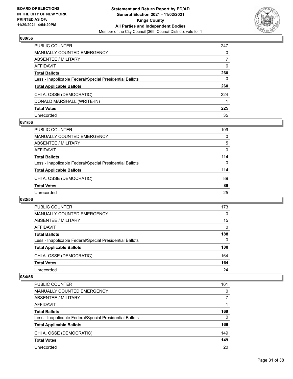

| PUBLIC COUNTER                                           | 247 |
|----------------------------------------------------------|-----|
| <b>MANUALLY COUNTED EMERGENCY</b>                        | 0   |
| <b>ABSENTEE / MILITARY</b>                               |     |
| AFFIDAVIT                                                | 6   |
| <b>Total Ballots</b>                                     | 260 |
| Less - Inapplicable Federal/Special Presidential Ballots | 0   |
| <b>Total Applicable Ballots</b>                          | 260 |
| CHI A. OSSE (DEMOCRATIC)                                 | 224 |
| DONALD MARSHALL (WRITE-IN)                               |     |
| <b>Total Votes</b>                                       | 225 |
| Unrecorded                                               | 35  |

## **081/56**

| 109      |
|----------|
| $\Omega$ |
| 5        |
| $\Omega$ |
| 114      |
| $\Omega$ |
| 114      |
| 89       |
| 89       |
| 25       |
|          |

## **082/56**

| <b>PUBLIC COUNTER</b>                                    | 173      |
|----------------------------------------------------------|----------|
| <b>MANUALLY COUNTED EMERGENCY</b>                        | $\Omega$ |
| ABSENTEE / MILITARY                                      | 15       |
| AFFIDAVIT                                                | $\Omega$ |
| <b>Total Ballots</b>                                     | 188      |
| Less - Inapplicable Federal/Special Presidential Ballots | $\Omega$ |
| <b>Total Applicable Ballots</b>                          | 188      |
| CHI A. OSSE (DEMOCRATIC)                                 | 164      |
| <b>Total Votes</b>                                       | 164      |
| Unrecorded                                               | 24       |

| <b>PUBLIC COUNTER</b>                                    | 161      |
|----------------------------------------------------------|----------|
| <b>MANUALLY COUNTED EMERGENCY</b>                        | $\Omega$ |
| ABSENTEE / MILITARY                                      | 7        |
| AFFIDAVIT                                                |          |
| <b>Total Ballots</b>                                     | 169      |
| Less - Inapplicable Federal/Special Presidential Ballots | $\Omega$ |
| <b>Total Applicable Ballots</b>                          | 169      |
| CHI A. OSSE (DEMOCRATIC)                                 | 149      |
| <b>Total Votes</b>                                       | 149      |
| Unrecorded                                               | 20       |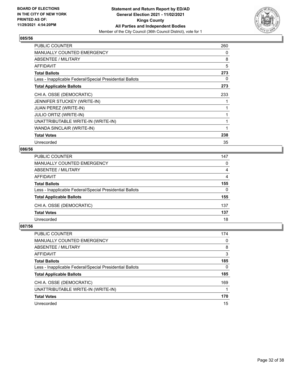

| <b>PUBLIC COUNTER</b>                                    | 260 |
|----------------------------------------------------------|-----|
| <b>MANUALLY COUNTED EMERGENCY</b>                        | 0   |
| ABSENTEE / MILITARY                                      | 8   |
| <b>AFFIDAVIT</b>                                         | 5   |
| <b>Total Ballots</b>                                     | 273 |
| Less - Inapplicable Federal/Special Presidential Ballots | 0   |
| <b>Total Applicable Ballots</b>                          | 273 |
| CHI A. OSSE (DEMOCRATIC)                                 | 233 |
| JENNIFER STUCKEY (WRITE-IN)                              |     |
| <b>JUAN PEREZ (WRITE-IN)</b>                             |     |
| JULIO ORTIZ (WRITE-IN)                                   |     |
| UNATTRIBUTABLE WRITE-IN (WRITE-IN)                       |     |
| WANDA SINCLAIR (WRITE-IN)                                | 1   |
| <b>Total Votes</b>                                       | 238 |
| Unrecorded                                               | 35  |

# **086/56**

| <b>PUBLIC COUNTER</b>                                    | 147      |
|----------------------------------------------------------|----------|
| MANUALLY COUNTED EMERGENCY                               | $\Omega$ |
| ABSENTEE / MILITARY                                      | 4        |
| AFFIDAVIT                                                | 4        |
| <b>Total Ballots</b>                                     | 155      |
| Less - Inapplicable Federal/Special Presidential Ballots | $\Omega$ |
| <b>Total Applicable Ballots</b>                          | 155      |
| CHI A. OSSE (DEMOCRATIC)                                 | 137      |
| <b>Total Votes</b>                                       | 137      |
| Unrecorded                                               | 18       |

| <b>PUBLIC COUNTER</b>                                    | 174 |
|----------------------------------------------------------|-----|
| <b>MANUALLY COUNTED EMERGENCY</b>                        | 0   |
| ABSENTEE / MILITARY                                      | 8   |
| AFFIDAVIT                                                | 3   |
| <b>Total Ballots</b>                                     | 185 |
| Less - Inapplicable Federal/Special Presidential Ballots | 0   |
| <b>Total Applicable Ballots</b>                          | 185 |
| CHI A. OSSE (DEMOCRATIC)                                 | 169 |
| UNATTRIBUTABLE WRITE-IN (WRITE-IN)                       |     |
| <b>Total Votes</b>                                       | 170 |
| Unrecorded                                               | 15  |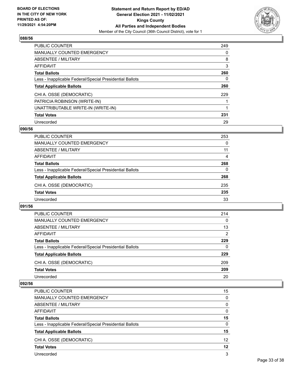

| PUBLIC COUNTER                                           | 249      |
|----------------------------------------------------------|----------|
| <b>MANUALLY COUNTED EMERGENCY</b>                        | $\Omega$ |
| ABSENTEE / MILITARY                                      | 8        |
| AFFIDAVIT                                                | 3        |
| <b>Total Ballots</b>                                     | 260      |
| Less - Inapplicable Federal/Special Presidential Ballots | 0        |
| <b>Total Applicable Ballots</b>                          | 260      |
| CHI A. OSSE (DEMOCRATIC)                                 | 229      |
| PATRICIA ROBINSON (WRITE-IN)                             |          |
| UNATTRIBUTABLE WRITE-IN (WRITE-IN)                       |          |
| <b>Total Votes</b>                                       | 231      |
| Unrecorded                                               | 29       |

## **090/56**

| <b>PUBLIC COUNTER</b>                                    | 253      |
|----------------------------------------------------------|----------|
| <b>MANUALLY COUNTED EMERGENCY</b>                        | $\Omega$ |
| ABSENTEE / MILITARY                                      | 11       |
| AFFIDAVIT                                                | 4        |
| <b>Total Ballots</b>                                     | 268      |
| Less - Inapplicable Federal/Special Presidential Ballots | $\Omega$ |
| <b>Total Applicable Ballots</b>                          | 268      |
| CHI A. OSSE (DEMOCRATIC)                                 | 235      |
| <b>Total Votes</b>                                       | 235      |
| Unrecorded                                               | 33       |

## **091/56**

| <b>PUBLIC COUNTER</b>                                    | 214      |
|----------------------------------------------------------|----------|
| MANUALLY COUNTED EMERGENCY                               | 0        |
| ABSENTEE / MILITARY                                      | 13       |
| AFFIDAVIT                                                | 2        |
| <b>Total Ballots</b>                                     | 229      |
| Less - Inapplicable Federal/Special Presidential Ballots | $\Omega$ |
| <b>Total Applicable Ballots</b>                          | 229      |
| CHI A. OSSE (DEMOCRATIC)                                 | 209      |
| <b>Total Votes</b>                                       | 209      |
| Unrecorded                                               | 20       |

| <b>PUBLIC COUNTER</b>                                    | 15                |
|----------------------------------------------------------|-------------------|
| MANUALLY COUNTED EMERGENCY                               | 0                 |
| ABSENTEE / MILITARY                                      | 0                 |
| AFFIDAVIT                                                | $\Omega$          |
| <b>Total Ballots</b>                                     | 15                |
| Less - Inapplicable Federal/Special Presidential Ballots | $\Omega$          |
| <b>Total Applicable Ballots</b>                          | 15                |
| CHI A. OSSE (DEMOCRATIC)                                 | $12 \overline{ }$ |
| <b>Total Votes</b>                                       | 12                |
| Unrecorded                                               | 3                 |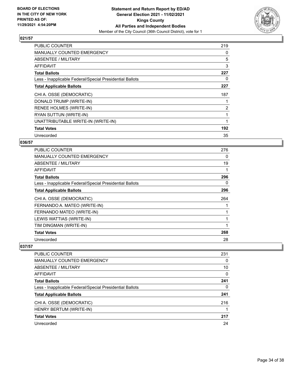

| <b>PUBLIC COUNTER</b>                                    | 219 |
|----------------------------------------------------------|-----|
| <b>MANUALLY COUNTED EMERGENCY</b>                        | 0   |
| ABSENTEE / MILITARY                                      | 5   |
| AFFIDAVIT                                                | 3   |
| <b>Total Ballots</b>                                     | 227 |
| Less - Inapplicable Federal/Special Presidential Ballots | 0   |
| <b>Total Applicable Ballots</b>                          | 227 |
| CHI A. OSSE (DEMOCRATIC)                                 | 187 |
| DONALD TRUMP (WRITE-IN)                                  |     |
| RENEE HOLMES (WRITE-IN)                                  | 2   |
| RYAN SUTTUN (WRITE-IN)                                   |     |
| UNATTRIBUTABLE WRITE-IN (WRITE-IN)                       |     |
| <b>Total Votes</b>                                       | 192 |
| Unrecorded                                               | 35  |

# **036/57**

| <b>PUBLIC COUNTER</b>                                    | 276 |
|----------------------------------------------------------|-----|
| <b>MANUALLY COUNTED EMERGENCY</b>                        | 0   |
| ABSENTEE / MILITARY                                      | 19  |
| <b>AFFIDAVIT</b>                                         |     |
| <b>Total Ballots</b>                                     | 296 |
| Less - Inapplicable Federal/Special Presidential Ballots | 0   |
| <b>Total Applicable Ballots</b>                          | 296 |
| CHI A. OSSE (DEMOCRATIC)                                 | 264 |
| FERNANDO A. MATEO (WRITE-IN)                             |     |
| FERNANDO MATEO (WRITE-IN)                                |     |
| LEWIS WATTIAS (WRITE-IN)                                 |     |
| TIM DINGMAN (WRITE-IN)                                   |     |
| <b>Total Votes</b>                                       | 268 |
| Unrecorded                                               | 28  |

| <b>PUBLIC COUNTER</b>                                    | 231 |
|----------------------------------------------------------|-----|
| <b>MANUALLY COUNTED EMERGENCY</b>                        | 0   |
| ABSENTEE / MILITARY                                      | 10  |
| AFFIDAVIT                                                | 0   |
| <b>Total Ballots</b>                                     | 241 |
| Less - Inapplicable Federal/Special Presidential Ballots | 0   |
| <b>Total Applicable Ballots</b>                          | 241 |
| CHI A. OSSE (DEMOCRATIC)                                 | 216 |
| HENRY BERTUM (WRITE-IN)                                  |     |
| <b>Total Votes</b>                                       | 217 |
| Unrecorded                                               | 24  |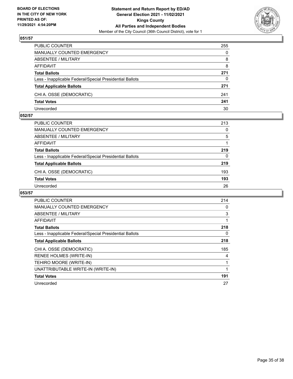

| PUBLIC COUNTER                                           | 255      |
|----------------------------------------------------------|----------|
| <b>MANUALLY COUNTED EMERGENCY</b>                        | $\Omega$ |
| <b>ABSENTEE / MILITARY</b>                               | 8        |
| AFFIDAVIT                                                | 8        |
| <b>Total Ballots</b>                                     | 271      |
| Less - Inapplicable Federal/Special Presidential Ballots | 0        |
| <b>Total Applicable Ballots</b>                          | 271      |
| CHI A. OSSE (DEMOCRATIC)                                 | 241      |
| <b>Total Votes</b>                                       | 241      |
| Unrecorded                                               | 30       |

## **052/57**

| PUBLIC COUNTER                                           | 213      |
|----------------------------------------------------------|----------|
| MANUALLY COUNTED EMERGENCY                               | 0        |
| <b>ABSENTEE / MILITARY</b>                               | 5        |
| AFFIDAVIT                                                |          |
| <b>Total Ballots</b>                                     | 219      |
| Less - Inapplicable Federal/Special Presidential Ballots | $\Omega$ |
| <b>Total Applicable Ballots</b>                          | 219      |
| CHI A. OSSE (DEMOCRATIC)                                 | 193      |
| <b>Total Votes</b>                                       | 193      |
| Unrecorded                                               | 26       |
|                                                          |          |

| <b>PUBLIC COUNTER</b>                                    | 214 |
|----------------------------------------------------------|-----|
| <b>MANUALLY COUNTED EMERGENCY</b>                        | 0   |
| ABSENTEE / MILITARY                                      | 3   |
| AFFIDAVIT                                                | 1   |
| <b>Total Ballots</b>                                     | 218 |
| Less - Inapplicable Federal/Special Presidential Ballots | 0   |
| <b>Total Applicable Ballots</b>                          | 218 |
| CHI A. OSSE (DEMOCRATIC)                                 | 185 |
| RENEE HOLMES (WRITE-IN)                                  | 4   |
| TEHIRO MOORE (WRITE-IN)                                  |     |
| UNATTRIBUTABLE WRITE-IN (WRITE-IN)                       | 1   |
| <b>Total Votes</b>                                       | 191 |
| Unrecorded                                               | 27  |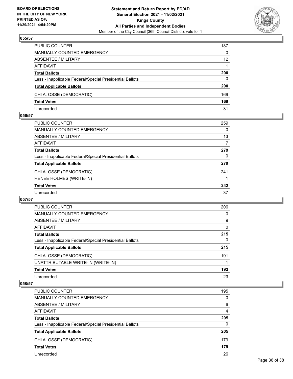

| PUBLIC COUNTER                                           | 187             |
|----------------------------------------------------------|-----------------|
| <b>MANUALLY COUNTED EMERGENCY</b>                        | $\mathbf{0}$    |
| <b>ABSENTEE / MILITARY</b>                               | 12 <sup>2</sup> |
| AFFIDAVIT                                                |                 |
| <b>Total Ballots</b>                                     | 200             |
| Less - Inapplicable Federal/Special Presidential Ballots | 0               |
| <b>Total Applicable Ballots</b>                          | 200             |
| CHI A. OSSE (DEMOCRATIC)                                 | 169             |
| <b>Total Votes</b>                                       | 169             |
| Unrecorded                                               | 31              |

## **056/57**

| PUBLIC COUNTER                                           | 259      |
|----------------------------------------------------------|----------|
| <b>MANUALLY COUNTED EMERGENCY</b>                        | 0        |
| ABSENTEE / MILITARY                                      | 13       |
| <b>AFFIDAVIT</b>                                         | 7        |
| <b>Total Ballots</b>                                     | 279      |
| Less - Inapplicable Federal/Special Presidential Ballots | $\Omega$ |
| <b>Total Applicable Ballots</b>                          | 279      |
| CHI A. OSSE (DEMOCRATIC)                                 | 241      |
| <b>RENEE HOLMES (WRITE-IN)</b>                           |          |
| <b>Total Votes</b>                                       | 242      |
| Unrecorded                                               | 37       |
|                                                          |          |

## **057/57**

| <b>PUBLIC COUNTER</b>                                    | 206      |
|----------------------------------------------------------|----------|
| <b>MANUALLY COUNTED EMERGENCY</b>                        | 0        |
| ABSENTEE / MILITARY                                      | 9        |
| <b>AFFIDAVIT</b>                                         | $\Omega$ |
| <b>Total Ballots</b>                                     | 215      |
| Less - Inapplicable Federal/Special Presidential Ballots | 0        |
| <b>Total Applicable Ballots</b>                          | 215      |
| CHI A. OSSE (DEMOCRATIC)                                 | 191      |
| UNATTRIBUTABLE WRITE-IN (WRITE-IN)                       |          |
| <b>Total Votes</b>                                       | 192      |
| Unrecorded                                               | 23       |

| <b>PUBLIC COUNTER</b>                                    | 195      |
|----------------------------------------------------------|----------|
| MANUALLY COUNTED EMERGENCY                               | $\Omega$ |
| ABSENTEE / MILITARY                                      | 6        |
| AFFIDAVIT                                                | 4        |
| <b>Total Ballots</b>                                     | 205      |
| Less - Inapplicable Federal/Special Presidential Ballots | $\Omega$ |
| <b>Total Applicable Ballots</b>                          | 205      |
| CHI A. OSSE (DEMOCRATIC)                                 | 179      |
| <b>Total Votes</b>                                       | 179      |
| Unrecorded                                               | 26       |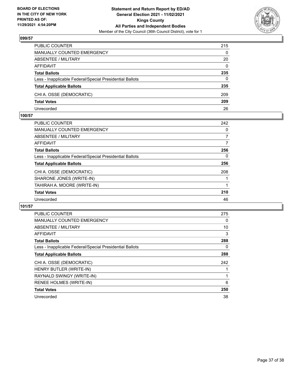

| PUBLIC COUNTER                                           | 215          |
|----------------------------------------------------------|--------------|
| <b>MANUALLY COUNTED EMERGENCY</b>                        | 0            |
| <b>ABSENTEE / MILITARY</b>                               | 20           |
| AFFIDAVIT                                                | $\mathbf{0}$ |
| <b>Total Ballots</b>                                     | 235          |
| Less - Inapplicable Federal/Special Presidential Ballots | 0            |
| <b>Total Applicable Ballots</b>                          | 235          |
| CHI A. OSSE (DEMOCRATIC)                                 | 209          |
| <b>Total Votes</b>                                       | 209          |
| Unrecorded                                               | 26           |

## **100/57**

| <b>PUBLIC COUNTER</b>                                    | 242 |
|----------------------------------------------------------|-----|
| <b>MANUALLY COUNTED EMERGENCY</b>                        | 0   |
| ABSENTEE / MILITARY                                      | 7   |
| AFFIDAVIT                                                | 7   |
| <b>Total Ballots</b>                                     | 256 |
| Less - Inapplicable Federal/Special Presidential Ballots | 0   |
| <b>Total Applicable Ballots</b>                          | 256 |
| CHI A. OSSE (DEMOCRATIC)                                 | 208 |
| SHARONE JONES (WRITE-IN)                                 |     |
| TAHIRAH A. MOORE (WRITE-IN)                              |     |
| <b>Total Votes</b>                                       | 210 |
| Unrecorded                                               | 46  |
|                                                          |     |

| <b>PUBLIC COUNTER</b>                                    | 275 |
|----------------------------------------------------------|-----|
| <b>MANUALLY COUNTED EMERGENCY</b>                        | 0   |
| ABSENTEE / MILITARY                                      | 10  |
| <b>AFFIDAVIT</b>                                         | 3   |
| <b>Total Ballots</b>                                     | 288 |
| Less - Inapplicable Federal/Special Presidential Ballots | 0   |
| <b>Total Applicable Ballots</b>                          | 288 |
| CHI A. OSSE (DEMOCRATIC)                                 | 242 |
| HENRY BUTLER (WRITE-IN)                                  |     |
| RAYNALD SWINGY (WRITE-IN)                                |     |
| <b>RENEE HOLMES (WRITE-IN)</b>                           | 6   |
| <b>Total Votes</b>                                       | 250 |
| Unrecorded                                               | 38  |